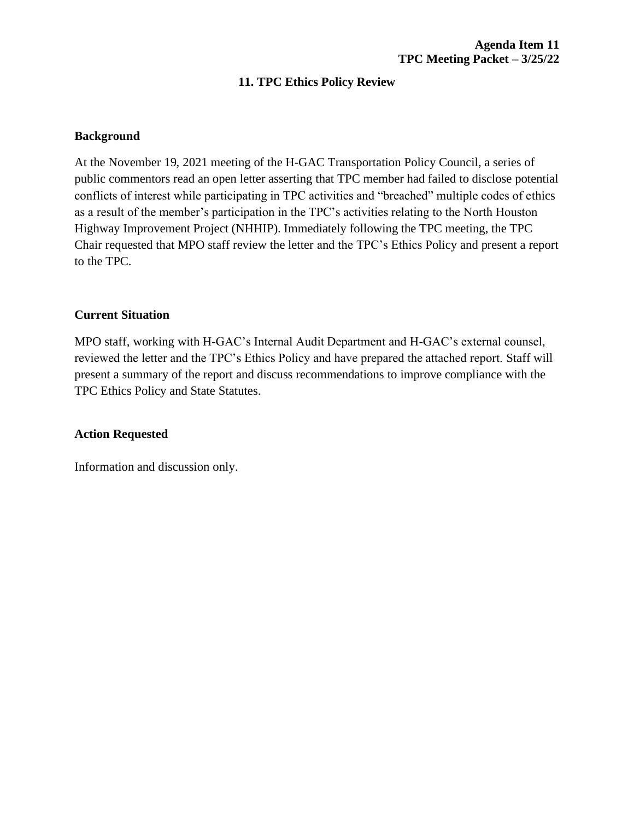# **11. TPC Ethics Policy Review**

### **Background**

At the November 19, 2021 meeting of the H-GAC Transportation Policy Council, a series of public commentors read an open letter asserting that TPC member had failed to disclose potential conflicts of interest while participating in TPC activities and "breached" multiple codes of ethics as a result of the member's participation in the TPC's activities relating to the North Houston Highway Improvement Project (NHHIP). Immediately following the TPC meeting, the TPC Chair requested that MPO staff review the letter and the TPC's Ethics Policy and present a report to the TPC.

### **Current Situation**

MPO staff, working with H-GAC's Internal Audit Department and H-GAC's external counsel, reviewed the letter and the TPC's Ethics Policy and have prepared the attached report. Staff will present a summary of the report and discuss recommendations to improve compliance with the TPC Ethics Policy and State Statutes.

### **Action Requested**

Information and discussion only.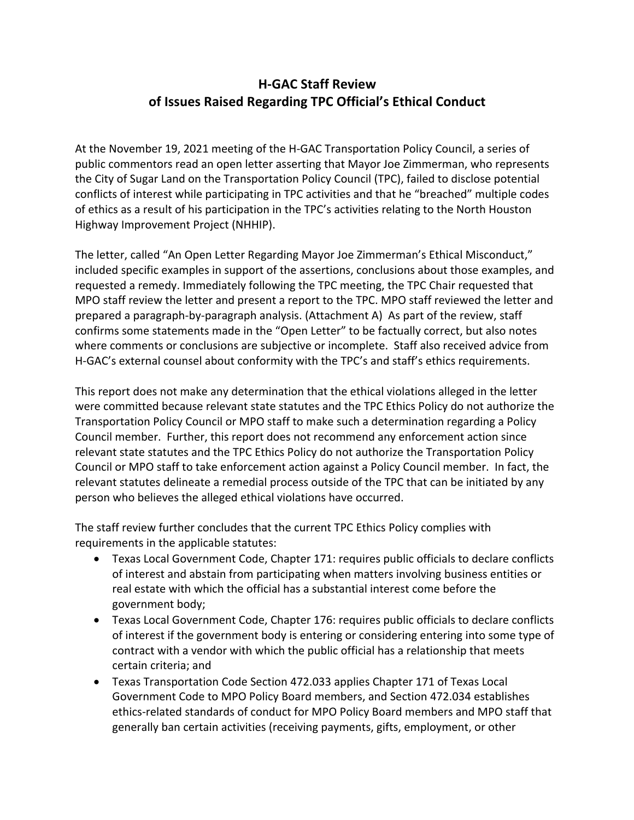# **H-GAC Staff Review of Issues Raised Regarding TPC Official's Ethical Conduct**

At the November 19, 2021 meeting of the H-GAC Transportation Policy Council, a series of public commentors read an open letter asserting that Mayor Joe Zimmerman, who represents the City of Sugar Land on the Transportation Policy Council (TPC), failed to disclose potential conflicts of interest while participating in TPC activities and that he "breached" multiple codes of ethics as a result of his participation in the TPC's activities relating to the North Houston Highway Improvement Project (NHHIP).

The letter, called "An Open Letter Regarding Mayor Joe Zimmerman's Ethical Misconduct," included specific examples in support of the assertions, conclusions about those examples, and requested a remedy. Immediately following the TPC meeting, the TPC Chair requested that MPO staff review the letter and present a report to the TPC. MPO staff reviewed the letter and prepared a paragraph-by-paragraph analysis. (Attachment A) As part of the review, staff confirms some statements made in the "Open Letter" to be factually correct, but also notes where comments or conclusions are subjective or incomplete. Staff also received advice from H-GAC's external counsel about conformity with the TPC's and staff's ethics requirements.

This report does not make any determination that the ethical violations alleged in the letter were committed because relevant state statutes and the TPC Ethics Policy do not authorize the Transportation Policy Council or MPO staff to make such a determination regarding a Policy Council member. Further, this report does not recommend any enforcement action since relevant state statutes and the TPC Ethics Policy do not authorize the Transportation Policy Council or MPO staff to take enforcement action against a Policy Council member. In fact, the relevant statutes delineate a remedial process outside of the TPC that can be initiated by any person who believes the alleged ethical violations have occurred.

The staff review further concludes that the current TPC Ethics Policy complies with requirements in the applicable statutes:

- Texas Local Government Code, Chapter 171: requires public officials to declare conflicts of interest and abstain from participating when matters involving business entities or real estate with which the official has a substantial interest come before the government body;
- Texas Local Government Code, Chapter 176: requires public officials to declare conflicts of interest if the government body is entering or considering entering into some type of contract with a vendor with which the public official has a relationship that meets certain criteria; and
- Texas Transportation Code Section 472.033 applies Chapter 171 of Texas Local Government Code to MPO Policy Board members, and Section 472.034 establishes ethics-related standards of conduct for MPO Policy Board members and MPO staff that generally ban certain activities (receiving payments, gifts, employment, or other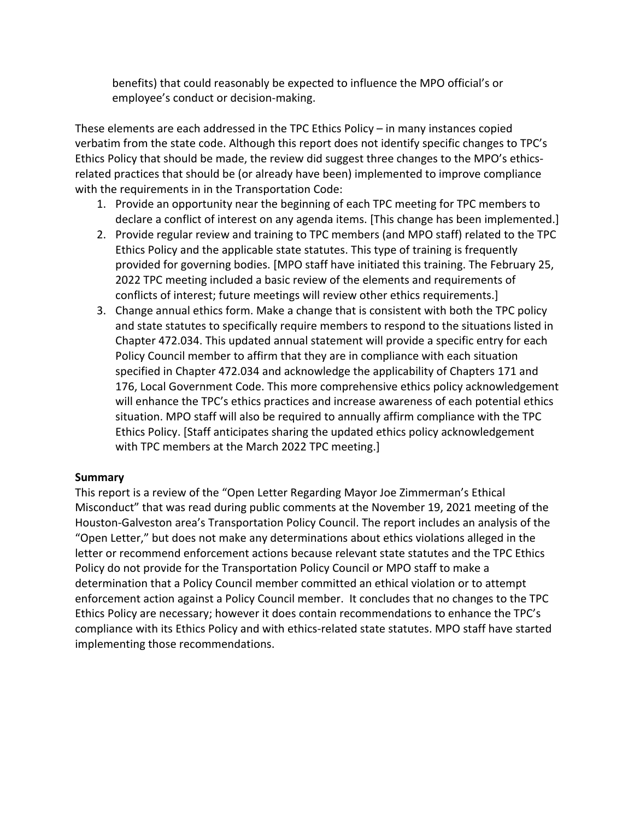benefits) that could reasonably be expected to influence the MPO official's or employee's conduct or decision-making.

These elements are each addressed in the TPC Ethics Policy – in many instances copied verbatim from the state code. Although this report does not identify specific changes to TPC's Ethics Policy that should be made, the review did suggest three changes to the MPO's ethicsrelated practices that should be (or already have been) implemented to improve compliance with the requirements in in the Transportation Code:

- 1. Provide an opportunity near the beginning of each TPC meeting for TPC members to declare a conflict of interest on any agenda items. [This change has been implemented.]
- 2. Provide regular review and training to TPC members (and MPO staff) related to the TPC Ethics Policy and the applicable state statutes. This type of training is frequently provided for governing bodies. [MPO staff have initiated this training. The February 25, 2022 TPC meeting included a basic review of the elements and requirements of conflicts of interest; future meetings will review other ethics requirements.]
- 3. Change annual ethics form. Make a change that is consistent with both the TPC policy and state statutes to specifically require members to respond to the situations listed in Chapter 472.034. This updated annual statement will provide a specific entry for each Policy Council member to affirm that they are in compliance with each situation specified in Chapter 472.034 and acknowledge the applicability of Chapters 171 and 176, Local Government Code. This more comprehensive ethics policy acknowledgement will enhance the TPC's ethics practices and increase awareness of each potential ethics situation. MPO staff will also be required to annually affirm compliance with the TPC Ethics Policy. [Staff anticipates sharing the updated ethics policy acknowledgement with TPC members at the March 2022 TPC meeting.]

## **Summary**

This report is a review of the "Open Letter Regarding Mayor Joe Zimmerman's Ethical Misconduct" that was read during public comments at the November 19, 2021 meeting of the Houston-Galveston area's Transportation Policy Council. The report includes an analysis of the "Open Letter," but does not make any determinations about ethics violations alleged in the letter or recommend enforcement actions because relevant state statutes and the TPC Ethics Policy do not provide for the Transportation Policy Council or MPO staff to make a determination that a Policy Council member committed an ethical violation or to attempt enforcement action against a Policy Council member. It concludes that no changes to the TPC Ethics Policy are necessary; however it does contain recommendations to enhance the TPC's compliance with its Ethics Policy and with ethics-related state statutes. MPO staff have started implementing those recommendations.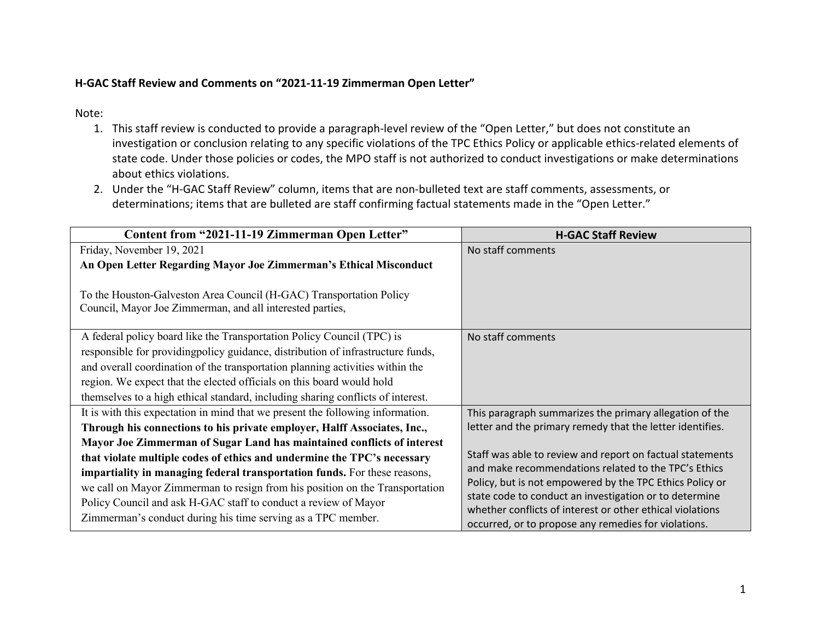# **H-GAC Staff Review and Comments on "2021-11-19 Zimmerman Open Letter"**

## Note:

- 1. This staff review is conducted to provide a paragraph-level review of the "Open Letter," but does not constitute an investigation or conclusion relating to any specific violations of the TPC Ethics Policy or applicable ethics-related elements of state code. Under those policies or codes, the MPO staff is not authorized to conduct investigations or make determinations about ethics violations.
- 2. Under the "H-GAC Staff Review" column, items that are non-bulleted text are staff comments, assessments, or determinations; items that are bulleted are staff confirming factual statements made in the "Open Letter."

| Content from "2021-11-19 Zimmerman Open Letter"                                                                                  | <b>H-GAC Staff Review</b>                                                                                         |
|----------------------------------------------------------------------------------------------------------------------------------|-------------------------------------------------------------------------------------------------------------------|
| Friday, November 19, 2021                                                                                                        | No staff comments                                                                                                 |
| An Open Letter Regarding Mayor Joe Zimmerman's Ethical Misconduct                                                                |                                                                                                                   |
| To the Houston-Galveston Area Council (H-GAC) Transportation Policy<br>Council, Mayor Joe Zimmerman, and all interested parties, |                                                                                                                   |
| A federal policy board like the Transportation Policy Council (TPC) is                                                           | No staff comments                                                                                                 |
| responsible for providing policy guidance, distribution of infrastructure funds,                                                 |                                                                                                                   |
| and overall coordination of the transportation planning activities within the                                                    |                                                                                                                   |
| region. We expect that the elected officials on this board would hold                                                            |                                                                                                                   |
| themselves to a high ethical standard, including sharing conflicts of interest.                                                  |                                                                                                                   |
| It is with this expectation in mind that we present the following information.                                                   | This paragraph summarizes the primary allegation of the                                                           |
| Through his connections to his private employer, Halff Associates, Inc.,                                                         | letter and the primary remedy that the letter identifies.                                                         |
| Mayor Joe Zimmerman of Sugar Land has maintained conflicts of interest                                                           |                                                                                                                   |
| that violate multiple codes of ethics and undermine the TPC's necessary                                                          | Staff was able to review and report on factual statements<br>and make recommendations related to the TPC's Ethics |
| impartiality in managing federal transportation funds. For these reasons,                                                        | Policy, but is not empowered by the TPC Ethics Policy or                                                          |
| we call on Mayor Zimmerman to resign from his position on the Transportation                                                     | state code to conduct an investigation or to determine                                                            |
| Policy Council and ask H-GAC staff to conduct a review of Mayor                                                                  | whether conflicts of interest or other ethical violations                                                         |
| Zimmerman's conduct during his time serving as a TPC member.                                                                     | occurred, or to propose any remedies for violations.                                                              |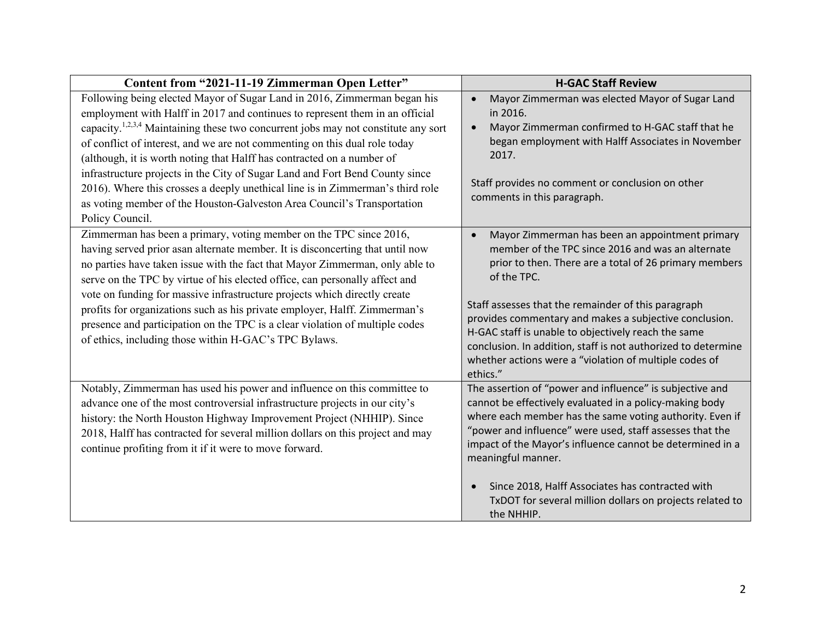| Content from "2021-11-19 Zimmerman Open Letter"                                                                                                                                                                                                                                                                                                                                                                                                                                                                                                                                                                                                                                    | <b>H-GAC Staff Review</b>                                                                                                                                                                                                                                                                                                                                                                                                                                                                                 |
|------------------------------------------------------------------------------------------------------------------------------------------------------------------------------------------------------------------------------------------------------------------------------------------------------------------------------------------------------------------------------------------------------------------------------------------------------------------------------------------------------------------------------------------------------------------------------------------------------------------------------------------------------------------------------------|-----------------------------------------------------------------------------------------------------------------------------------------------------------------------------------------------------------------------------------------------------------------------------------------------------------------------------------------------------------------------------------------------------------------------------------------------------------------------------------------------------------|
| Following being elected Mayor of Sugar Land in 2016, Zimmerman began his<br>employment with Halff in 2017 and continues to represent them in an official<br>capacity. <sup>1,2,3,4</sup> Maintaining these two concurrent jobs may not constitute any sort<br>of conflict of interest, and we are not commenting on this dual role today<br>(although, it is worth noting that Halff has contracted on a number of<br>infrastructure projects in the City of Sugar Land and Fort Bend County since<br>2016). Where this crosses a deeply unethical line is in Zimmerman's third role<br>as voting member of the Houston-Galveston Area Council's Transportation<br>Policy Council. | Mayor Zimmerman was elected Mayor of Sugar Land<br>$\bullet$<br>in 2016.<br>Mayor Zimmerman confirmed to H-GAC staff that he<br>$\bullet$<br>began employment with Halff Associates in November<br>2017.<br>Staff provides no comment or conclusion on other<br>comments in this paragraph.                                                                                                                                                                                                               |
| Zimmerman has been a primary, voting member on the TPC since 2016,<br>having served prior asan alternate member. It is disconcerting that until now<br>no parties have taken issue with the fact that Mayor Zimmerman, only able to<br>serve on the TPC by virtue of his elected office, can personally affect and<br>vote on funding for massive infrastructure projects which directly create<br>profits for organizations such as his private employer, Halff. Zimmerman's<br>presence and participation on the TPC is a clear violation of multiple codes<br>of ethics, including those within H-GAC's TPC Bylaws.                                                             | Mayor Zimmerman has been an appointment primary<br>$\bullet$<br>member of the TPC since 2016 and was an alternate<br>prior to then. There are a total of 26 primary members<br>of the TPC.<br>Staff assesses that the remainder of this paragraph<br>provides commentary and makes a subjective conclusion.<br>H-GAC staff is unable to objectively reach the same<br>conclusion. In addition, staff is not authorized to determine<br>whether actions were a "violation of multiple codes of<br>ethics." |
| Notably, Zimmerman has used his power and influence on this committee to<br>advance one of the most controversial infrastructure projects in our city's<br>history: the North Houston Highway Improvement Project (NHHIP). Since<br>2018, Halff has contracted for several million dollars on this project and may<br>continue profiting from it if it were to move forward.                                                                                                                                                                                                                                                                                                       | The assertion of "power and influence" is subjective and<br>cannot be effectively evaluated in a policy-making body<br>where each member has the same voting authority. Even if<br>"power and influence" were used, staff assesses that the<br>impact of the Mayor's influence cannot be determined in a<br>meaningful manner.<br>Since 2018, Halff Associates has contracted with<br>TxDOT for several million dollars on projects related to<br>the NHHIP.                                              |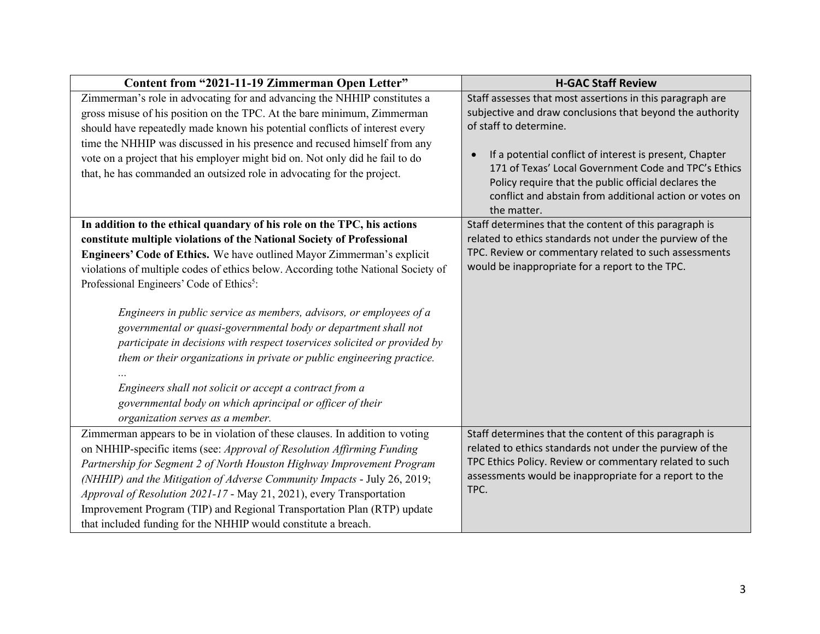| Content from "2021-11-19 Zimmerman Open Letter"                                   | <b>H-GAC Staff Review</b>                                                                                    |
|-----------------------------------------------------------------------------------|--------------------------------------------------------------------------------------------------------------|
| Zimmerman's role in advocating for and advancing the NHHIP constitutes a          | Staff assesses that most assertions in this paragraph are                                                    |
| gross misuse of his position on the TPC. At the bare minimum, Zimmerman           | subjective and draw conclusions that beyond the authority                                                    |
| should have repeatedly made known his potential conflicts of interest every       | of staff to determine.                                                                                       |
| time the NHHIP was discussed in his presence and recused himself from any         |                                                                                                              |
| vote on a project that his employer might bid on. Not only did he fail to do      | If a potential conflict of interest is present, Chapter<br>$\bullet$                                         |
| that, he has commanded an outsized role in advocating for the project.            | 171 of Texas' Local Government Code and TPC's Ethics<br>Policy require that the public official declares the |
|                                                                                   | conflict and abstain from additional action or votes on                                                      |
|                                                                                   | the matter.                                                                                                  |
| In addition to the ethical quandary of his role on the TPC, his actions           | Staff determines that the content of this paragraph is                                                       |
| constitute multiple violations of the National Society of Professional            | related to ethics standards not under the purview of the                                                     |
| Engineers' Code of Ethics. We have outlined Mayor Zimmerman's explicit            | TPC. Review or commentary related to such assessments                                                        |
| violations of multiple codes of ethics below. According tothe National Society of | would be inappropriate for a report to the TPC.                                                              |
| Professional Engineers' Code of Ethics <sup>5</sup> :                             |                                                                                                              |
|                                                                                   |                                                                                                              |
| Engineers in public service as members, advisors, or employees of a               |                                                                                                              |
| governmental or quasi-governmental body or department shall not                   |                                                                                                              |
| participate in decisions with respect toservices solicited or provided by         |                                                                                                              |
| them or their organizations in private or public engineering practice.            |                                                                                                              |
|                                                                                   |                                                                                                              |
| Engineers shall not solicit or accept a contract from a                           |                                                                                                              |
| governmental body on which aprincipal or officer of their                         |                                                                                                              |
| organization serves as a member.                                                  |                                                                                                              |
| Zimmerman appears to be in violation of these clauses. In addition to voting      | Staff determines that the content of this paragraph is                                                       |
| on NHHIP-specific items (see: Approval of Resolution Affirming Funding            | related to ethics standards not under the purview of the                                                     |
| Partnership for Segment 2 of North Houston Highway Improvement Program            | TPC Ethics Policy. Review or commentary related to such                                                      |
| (NHHIP) and the Mitigation of Adverse Community Impacts - July 26, 2019;          | assessments would be inappropriate for a report to the                                                       |
| Approval of Resolution 2021-17 - May 21, 2021), every Transportation              | TPC.                                                                                                         |
| Improvement Program (TIP) and Regional Transportation Plan (RTP) update           |                                                                                                              |
| that included funding for the NHHIP would constitute a breach.                    |                                                                                                              |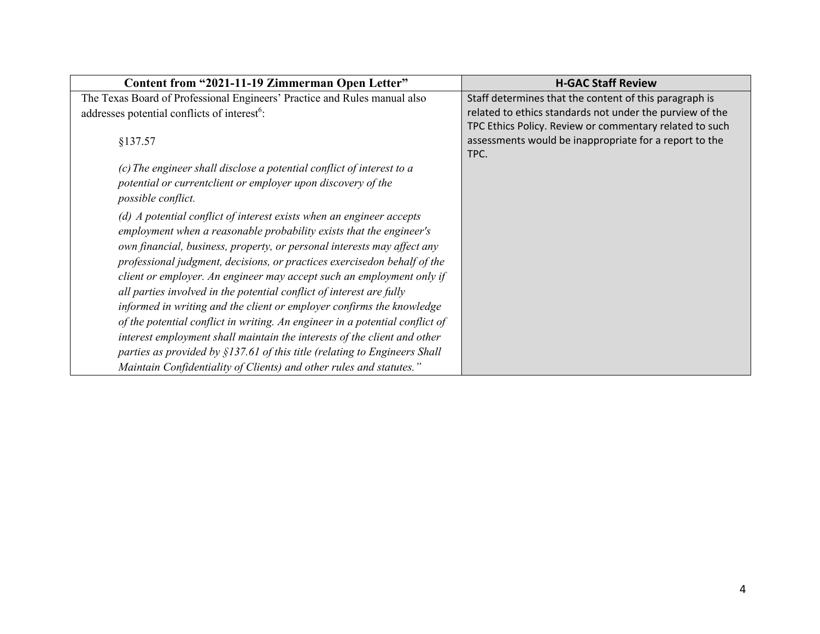| Content from "2021-11-19 Zimmerman Open Letter"                              | <b>H-GAC Staff Review</b>                                                                                                 |
|------------------------------------------------------------------------------|---------------------------------------------------------------------------------------------------------------------------|
| The Texas Board of Professional Engineers' Practice and Rules manual also    | Staff determines that the content of this paragraph is                                                                    |
| addresses potential conflicts of interest <sup>6</sup> :                     | related to ethics standards not under the purview of the                                                                  |
| §137.57                                                                      | TPC Ethics Policy. Review or commentary related to such<br>assessments would be inappropriate for a report to the<br>TPC. |
| (c) The engineer shall disclose a potential conflict of interest to a        |                                                                                                                           |
| potential or currentclient or employer upon discovery of the                 |                                                                                                                           |
| possible conflict.                                                           |                                                                                                                           |
| $(d)$ A potential conflict of interest exists when an engineer accepts       |                                                                                                                           |
| employment when a reasonable probability exists that the engineer's          |                                                                                                                           |
| own financial, business, property, or personal interests may affect any      |                                                                                                                           |
| professional judgment, decisions, or practices exercisedon behalf of the     |                                                                                                                           |
| client or employer. An engineer may accept such an employment only if        |                                                                                                                           |
| all parties involved in the potential conflict of interest are fully         |                                                                                                                           |
| informed in writing and the client or employer confirms the knowledge        |                                                                                                                           |
| of the potential conflict in writing. An engineer in a potential conflict of |                                                                                                                           |
| interest employment shall maintain the interests of the client and other     |                                                                                                                           |
| parties as provided by $$137.61$ of this title (relating to Engineers Shall  |                                                                                                                           |
| Maintain Confidentiality of Clients) and other rules and statutes."          |                                                                                                                           |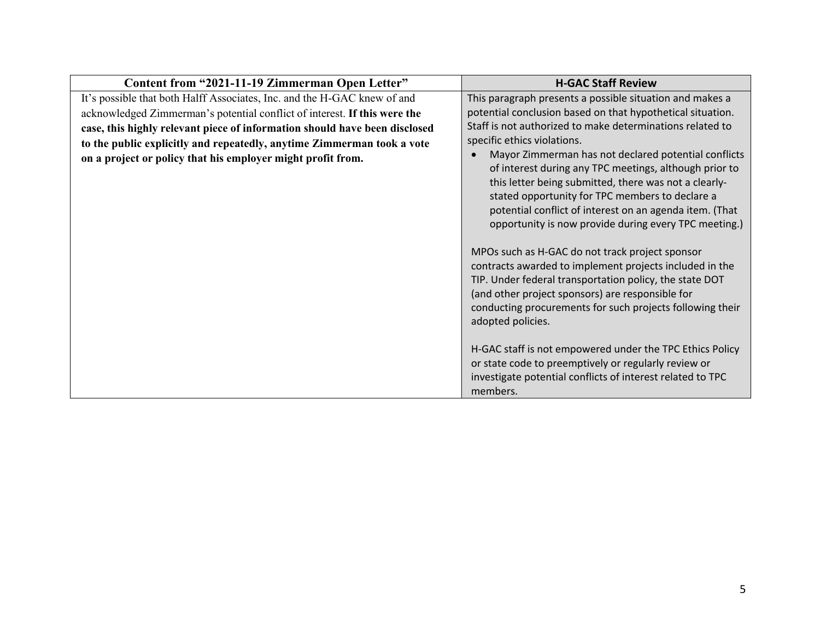| Content from "2021-11-19 Zimmerman Open Letter"                            | <b>H-GAC Staff Review</b>                                                                                                                                                                                                                                                                                                                                                                                                                                                                                                                                                                                                                                     |
|----------------------------------------------------------------------------|---------------------------------------------------------------------------------------------------------------------------------------------------------------------------------------------------------------------------------------------------------------------------------------------------------------------------------------------------------------------------------------------------------------------------------------------------------------------------------------------------------------------------------------------------------------------------------------------------------------------------------------------------------------|
| It's possible that both Halff Associates, Inc. and the H-GAC knew of and   | This paragraph presents a possible situation and makes a                                                                                                                                                                                                                                                                                                                                                                                                                                                                                                                                                                                                      |
| acknowledged Zimmerman's potential conflict of interest. If this were the  | potential conclusion based on that hypothetical situation.                                                                                                                                                                                                                                                                                                                                                                                                                                                                                                                                                                                                    |
| case, this highly relevant piece of information should have been disclosed | Staff is not authorized to make determinations related to                                                                                                                                                                                                                                                                                                                                                                                                                                                                                                                                                                                                     |
| to the public explicitly and repeatedly, anytime Zimmerman took a vote     | specific ethics violations.                                                                                                                                                                                                                                                                                                                                                                                                                                                                                                                                                                                                                                   |
| on a project or policy that his employer might profit from.                | Mayor Zimmerman has not declared potential conflicts<br>of interest during any TPC meetings, although prior to<br>this letter being submitted, there was not a clearly-<br>stated opportunity for TPC members to declare a<br>potential conflict of interest on an agenda item. (That<br>opportunity is now provide during every TPC meeting.)<br>MPOs such as H-GAC do not track project sponsor<br>contracts awarded to implement projects included in the<br>TIP. Under federal transportation policy, the state DOT<br>(and other project sponsors) are responsible for<br>conducting procurements for such projects following their<br>adopted policies. |
|                                                                            | H-GAC staff is not empowered under the TPC Ethics Policy<br>or state code to preemptively or regularly review or<br>investigate potential conflicts of interest related to TPC                                                                                                                                                                                                                                                                                                                                                                                                                                                                                |
|                                                                            | members.                                                                                                                                                                                                                                                                                                                                                                                                                                                                                                                                                                                                                                                      |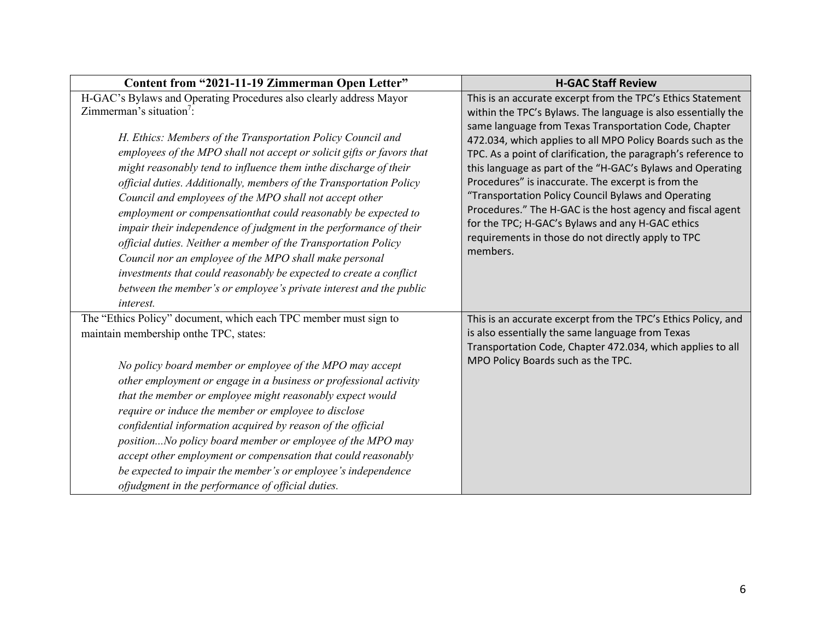| Content from "2021-11-19 Zimmerman Open Letter"                                                                                                                                                                                                                                                                                                                                                                                                                                                                                                                                                                                                                                                         | <b>H-GAC Staff Review</b>                                                                                                                                                                                                                                                                                                                                                                                                     |
|---------------------------------------------------------------------------------------------------------------------------------------------------------------------------------------------------------------------------------------------------------------------------------------------------------------------------------------------------------------------------------------------------------------------------------------------------------------------------------------------------------------------------------------------------------------------------------------------------------------------------------------------------------------------------------------------------------|-------------------------------------------------------------------------------------------------------------------------------------------------------------------------------------------------------------------------------------------------------------------------------------------------------------------------------------------------------------------------------------------------------------------------------|
| H-GAC's Bylaws and Operating Procedures also clearly address Mayor<br>Zimmerman's situation <sup>7</sup> :<br>H. Ethics: Members of the Transportation Policy Council and                                                                                                                                                                                                                                                                                                                                                                                                                                                                                                                               | This is an accurate excerpt from the TPC's Ethics Statement<br>within the TPC's Bylaws. The language is also essentially the<br>same language from Texas Transportation Code, Chapter<br>472.034, which applies to all MPO Policy Boards such as the                                                                                                                                                                          |
| employees of the MPO shall not accept or solicit gifts or favors that<br>might reasonably tend to influence them inthe discharge of their<br>official duties. Additionally, members of the Transportation Policy<br>Council and employees of the MPO shall not accept other<br>employment or compensationthat could reasonably be expected to<br>impair their independence of judgment in the performance of their<br>official duties. Neither a member of the Transportation Policy<br>Council nor an employee of the MPO shall make personal<br>investments that could reasonably be expected to create a conflict<br>between the member's or employee's private interest and the public<br>interest. | TPC. As a point of clarification, the paragraph's reference to<br>this language as part of the "H-GAC's Bylaws and Operating<br>Procedures" is inaccurate. The excerpt is from the<br>"Transportation Policy Council Bylaws and Operating<br>Procedures." The H-GAC is the host agency and fiscal agent<br>for the TPC; H-GAC's Bylaws and any H-GAC ethics<br>requirements in those do not directly apply to TPC<br>members. |
| The "Ethics Policy" document, which each TPC member must sign to<br>maintain membership onthe TPC, states:<br>No policy board member or employee of the MPO may accept<br>other employment or engage in a business or professional activity<br>that the member or employee might reasonably expect would<br>require or induce the member or employee to disclose<br>confidential information acquired by reason of the official<br>positionNo policy board member or employee of the MPO may<br>accept other employment or compensation that could reasonably<br>be expected to impair the member's or employee's independence<br>ofjudgment in the performance of official duties.                     | This is an accurate excerpt from the TPC's Ethics Policy, and<br>is also essentially the same language from Texas<br>Transportation Code, Chapter 472.034, which applies to all<br>MPO Policy Boards such as the TPC.                                                                                                                                                                                                         |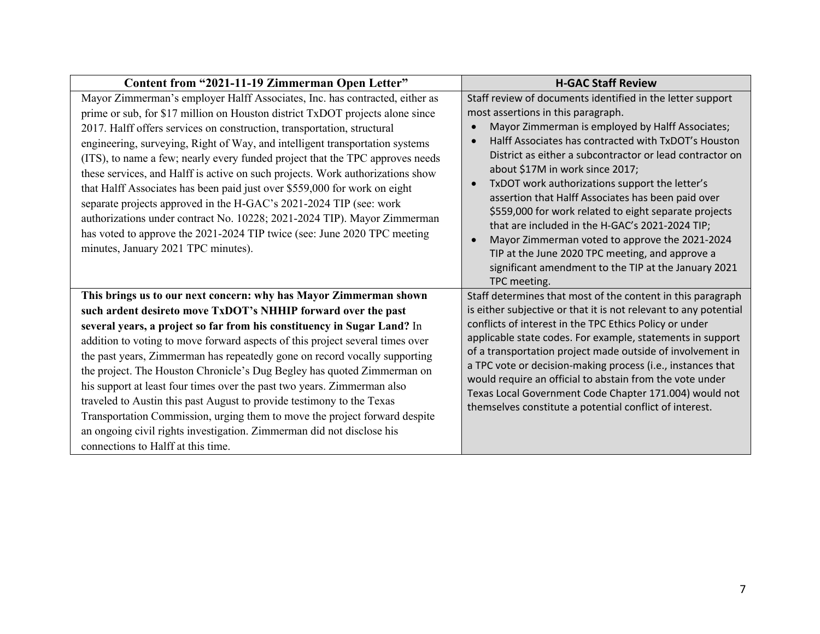| Content from "2021-11-19 Zimmerman Open Letter"                                                                                                                                                                                                                                                                                                                                                                                                                                                                                                                                                                                                                                                                                                                                                                                              | <b>H-GAC Staff Review</b>                                                                                                                                                                                                                                                                                                                                                                                                                                                                                                                                                                                                                                                                                                                                        |
|----------------------------------------------------------------------------------------------------------------------------------------------------------------------------------------------------------------------------------------------------------------------------------------------------------------------------------------------------------------------------------------------------------------------------------------------------------------------------------------------------------------------------------------------------------------------------------------------------------------------------------------------------------------------------------------------------------------------------------------------------------------------------------------------------------------------------------------------|------------------------------------------------------------------------------------------------------------------------------------------------------------------------------------------------------------------------------------------------------------------------------------------------------------------------------------------------------------------------------------------------------------------------------------------------------------------------------------------------------------------------------------------------------------------------------------------------------------------------------------------------------------------------------------------------------------------------------------------------------------------|
| Mayor Zimmerman's employer Halff Associates, Inc. has contracted, either as<br>prime or sub, for \$17 million on Houston district TxDOT projects alone since<br>2017. Halff offers services on construction, transportation, structural<br>engineering, surveying, Right of Way, and intelligent transportation systems<br>(ITS), to name a few; nearly every funded project that the TPC approves needs<br>these services, and Halff is active on such projects. Work authorizations show<br>that Halff Associates has been paid just over \$559,000 for work on eight<br>separate projects approved in the H-GAC's 2021-2024 TIP (see: work<br>authorizations under contract No. 10228; 2021-2024 TIP). Mayor Zimmerman<br>has voted to approve the 2021-2024 TIP twice (see: June 2020 TPC meeting<br>minutes, January 2021 TPC minutes). | Staff review of documents identified in the letter support<br>most assertions in this paragraph.<br>Mayor Zimmerman is employed by Halff Associates;<br>$\bullet$<br>Halff Associates has contracted with TxDOT's Houston<br>$\bullet$<br>District as either a subcontractor or lead contractor on<br>about \$17M in work since 2017;<br>TxDOT work authorizations support the letter's<br>$\bullet$<br>assertion that Halff Associates has been paid over<br>\$559,000 for work related to eight separate projects<br>that are included in the H-GAC's 2021-2024 TIP;<br>Mayor Zimmerman voted to approve the 2021-2024<br>$\bullet$<br>TIP at the June 2020 TPC meeting, and approve a<br>significant amendment to the TIP at the January 2021<br>TPC meeting. |
| This brings us to our next concern: why has Mayor Zimmerman shown<br>such ardent desireto move TxDOT's NHHIP forward over the past<br>several years, a project so far from his constituency in Sugar Land? In<br>addition to voting to move forward aspects of this project several times over<br>the past years, Zimmerman has repeatedly gone on record vocally supporting<br>the project. The Houston Chronicle's Dug Begley has quoted Zimmerman on<br>his support at least four times over the past two years. Zimmerman also<br>traveled to Austin this past August to provide testimony to the Texas<br>Transportation Commission, urging them to move the project forward despite<br>an ongoing civil rights investigation. Zimmerman did not disclose his<br>connections to Halff at this time.                                     | Staff determines that most of the content in this paragraph<br>is either subjective or that it is not relevant to any potential<br>conflicts of interest in the TPC Ethics Policy or under<br>applicable state codes. For example, statements in support<br>of a transportation project made outside of involvement in<br>a TPC vote or decision-making process (i.e., instances that<br>would require an official to abstain from the vote under<br>Texas Local Government Code Chapter 171.004) would not<br>themselves constitute a potential conflict of interest.                                                                                                                                                                                           |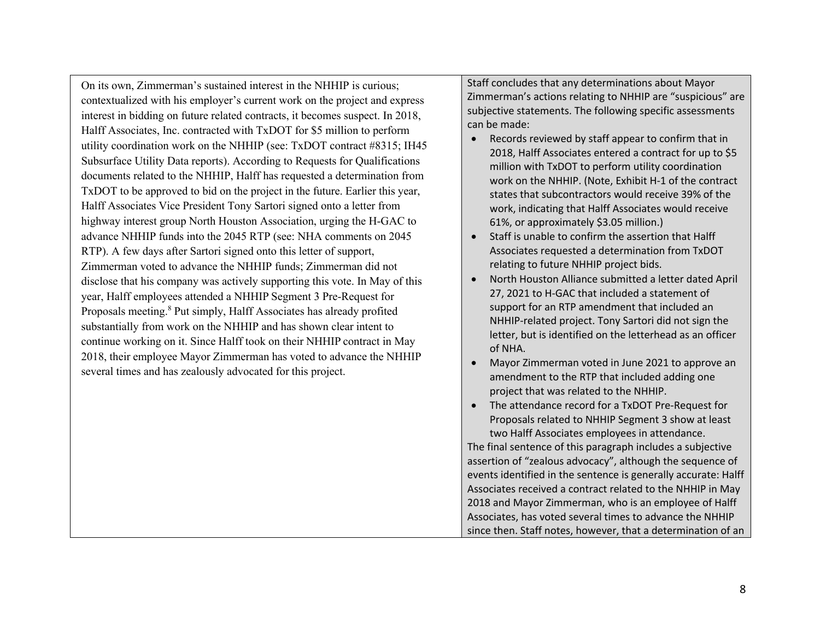On its own, Zimmerman's sustained interest in the NHHIP is curious; contextualized with his employer's current work on the project and express interest in bidding on future related contracts, it becomes suspect. In 2018, Halff Associates, Inc. contracted with TxDOT for \$5 million to perform utility coordination work on the NHHIP (see: TxDOT contract #8315; IH45 Subsurface Utility Data reports). According to Requests for Qualifications documents related to the NHHIP, Halff has requested a determination from TxDOT to be approved to bid on the project in the future. Earlier this year, Halff Associates Vice President Tony Sartori signed onto a letter from highway interest group North Houston Association, urging the H-GAC to advance NHHIP funds into the 2045 RTP (see: NHA comments on 2045 RTP). A few days after Sartori signed onto this letter of support, Zimmerman voted to advance the NHHIP funds; Zimmerman did not disclose that his company was actively supporting this vote. In May of this year, Halff employees attended a NHHIP Segment 3 Pre-Request for Proposals meeting.<sup>8</sup> Put simply, Halff Associates has already profited substantially from work on the NHHIP and has shown clear intent to continue working on it. Since Halff took on their NHHIP contract in May 2018, their employee Mayor Zimmerman has voted to advance the NHHIP several times and has zealously advocated for this project.

Staff concludes that any determinations about Mayor Zimmerman's actions relating to NHHIP are "suspicious" are subjective statements. The following specific assessments can be made:

- Records reviewed by staff appear to confirm that in 2018, Halff Associates entered a contract for up to \$5 million with TxDOT to perform utility coordination work on the NHHIP. (Note, Exhibit H-1 of the contract states that subcontractors would receive 39% of the work, indicating that Halff Associates would receive 61%, or approximately \$3.05 million.)
- Staff is unable to confirm the assertion that Halff Associates requested a determination from TxDOT relating to future NHHIP project bids.
- North Houston Alliance submitted a letter dated April 27, 2021 to H-GAC that included a statement of support for an RTP amendment that included an NHHIP-related project. Tony Sartori did not sign the letter, but is identified on the letterhead as an officer of NHA.
- Mayor Zimmerman voted in June 2021 to approve an amendment to the RTP that included adding one project that was related to the NHHIP.
- The attendance record for a TxDOT Pre-Request for Proposals related to NHHIP Segment 3 show at least two Halff Associates employees in attendance.

The final sentence of this paragraph includes a subjective assertion of "zealous advocacy", although the sequence of events identified in the sentence is generally accurate: Halff Associates received a contract related to the NHHIP in May 2018 and Mayor Zimmerman, who is an employee of Halff Associates, has voted several times to advance the NHHIP since then. Staff notes, however, that a determination of an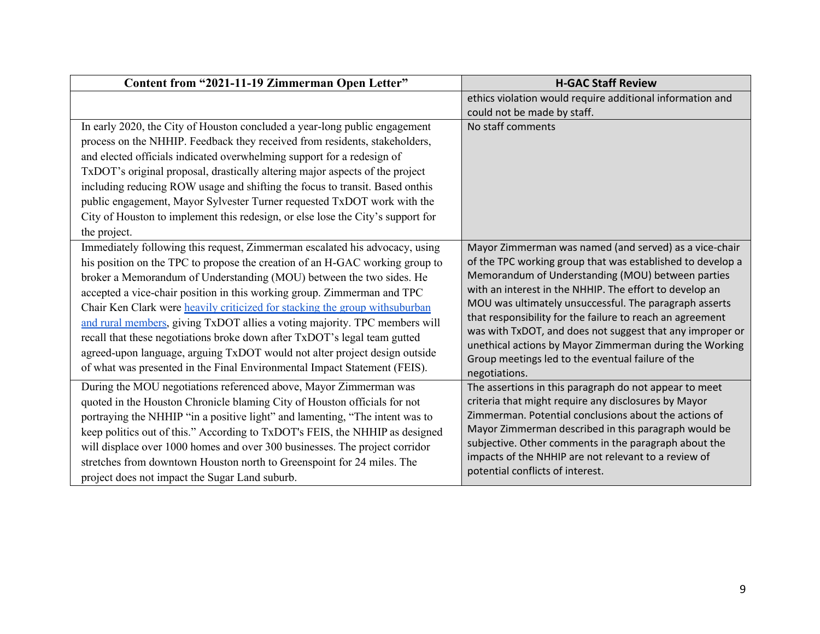| Content from "2021-11-19 Zimmerman Open Letter"                                                                                                                                                                                                                                                                                                                                                                                                                                                                                                                                                                                                                                                                     | <b>H-GAC Staff Review</b>                                                                                                                                                                                                                                                                                                                                                                                                                                                                                                                                 |
|---------------------------------------------------------------------------------------------------------------------------------------------------------------------------------------------------------------------------------------------------------------------------------------------------------------------------------------------------------------------------------------------------------------------------------------------------------------------------------------------------------------------------------------------------------------------------------------------------------------------------------------------------------------------------------------------------------------------|-----------------------------------------------------------------------------------------------------------------------------------------------------------------------------------------------------------------------------------------------------------------------------------------------------------------------------------------------------------------------------------------------------------------------------------------------------------------------------------------------------------------------------------------------------------|
|                                                                                                                                                                                                                                                                                                                                                                                                                                                                                                                                                                                                                                                                                                                     | ethics violation would require additional information and<br>could not be made by staff.                                                                                                                                                                                                                                                                                                                                                                                                                                                                  |
| In early 2020, the City of Houston concluded a year-long public engagement<br>process on the NHHIP. Feedback they received from residents, stakeholders,<br>and elected officials indicated overwhelming support for a redesign of<br>TxDOT's original proposal, drastically altering major aspects of the project<br>including reducing ROW usage and shifting the focus to transit. Based onthis<br>public engagement, Mayor Sylvester Turner requested TxDOT work with the<br>City of Houston to implement this redesign, or else lose the City's support for<br>the project.                                                                                                                                    | No staff comments                                                                                                                                                                                                                                                                                                                                                                                                                                                                                                                                         |
| Immediately following this request, Zimmerman escalated his advocacy, using<br>his position on the TPC to propose the creation of an H-GAC working group to<br>broker a Memorandum of Understanding (MOU) between the two sides. He<br>accepted a vice-chair position in this working group. Zimmerman and TPC<br>Chair Ken Clark were heavily criticized for stacking the group withsuburban<br>and rural members, giving TxDOT allies a voting majority. TPC members will<br>recall that these negotiations broke down after TxDOT's legal team gutted<br>agreed-upon language, arguing TxDOT would not alter project design outside<br>of what was presented in the Final Environmental Impact Statement (FEIS). | Mayor Zimmerman was named (and served) as a vice-chair<br>of the TPC working group that was established to develop a<br>Memorandum of Understanding (MOU) between parties<br>with an interest in the NHHIP. The effort to develop an<br>MOU was ultimately unsuccessful. The paragraph asserts<br>that responsibility for the failure to reach an agreement<br>was with TxDOT, and does not suggest that any improper or<br>unethical actions by Mayor Zimmerman during the Working<br>Group meetings led to the eventual failure of the<br>negotiations. |
| During the MOU negotiations referenced above, Mayor Zimmerman was<br>quoted in the Houston Chronicle blaming City of Houston officials for not<br>portraying the NHHIP "in a positive light" and lamenting, "The intent was to<br>keep politics out of this." According to TxDOT's FEIS, the NHHIP as designed<br>will displace over 1000 homes and over 300 businesses. The project corridor<br>stretches from downtown Houston north to Greenspoint for 24 miles. The<br>project does not impact the Sugar Land suburb.                                                                                                                                                                                           | The assertions in this paragraph do not appear to meet<br>criteria that might require any disclosures by Mayor<br>Zimmerman. Potential conclusions about the actions of<br>Mayor Zimmerman described in this paragraph would be<br>subjective. Other comments in the paragraph about the<br>impacts of the NHHIP are not relevant to a review of<br>potential conflicts of interest.                                                                                                                                                                      |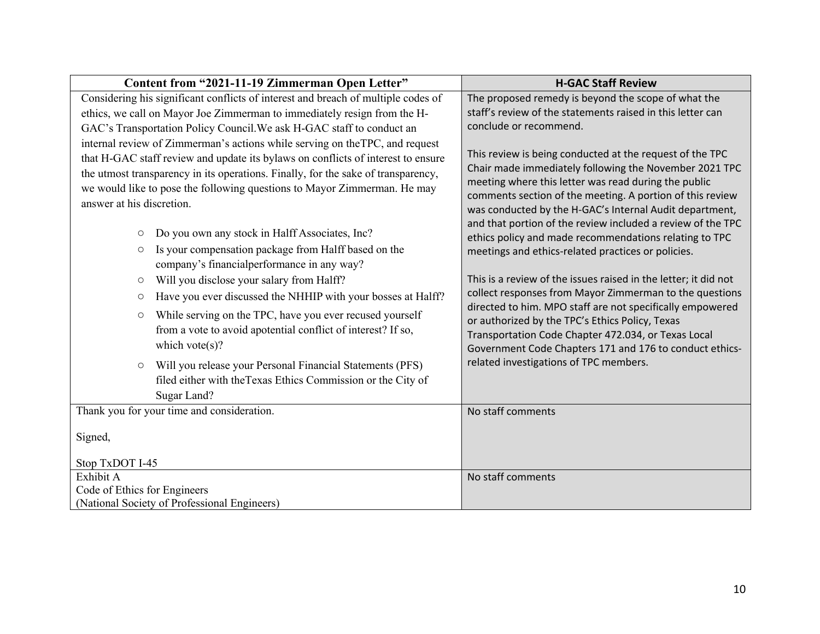| Content from "2021-11-19 Zimmerman Open Letter"                                                                                                                                                                                                                                                                                                                | <b>H-GAC Staff Review</b>                                                                                                                                                                                                                                                                                                                                         |
|----------------------------------------------------------------------------------------------------------------------------------------------------------------------------------------------------------------------------------------------------------------------------------------------------------------------------------------------------------------|-------------------------------------------------------------------------------------------------------------------------------------------------------------------------------------------------------------------------------------------------------------------------------------------------------------------------------------------------------------------|
| Considering his significant conflicts of interest and breach of multiple codes of                                                                                                                                                                                                                                                                              | The proposed remedy is beyond the scope of what the                                                                                                                                                                                                                                                                                                               |
| ethics, we call on Mayor Joe Zimmerman to immediately resign from the H-                                                                                                                                                                                                                                                                                       | staff's review of the statements raised in this letter can                                                                                                                                                                                                                                                                                                        |
| GAC's Transportation Policy Council. We ask H-GAC staff to conduct an                                                                                                                                                                                                                                                                                          | conclude or recommend.                                                                                                                                                                                                                                                                                                                                            |
| internal review of Zimmerman's actions while serving on the TPC, and request<br>that H-GAC staff review and update its bylaws on conflicts of interest to ensure<br>the utmost transparency in its operations. Finally, for the sake of transparency,<br>we would like to pose the following questions to Mayor Zimmerman. He may<br>answer at his discretion. | This review is being conducted at the request of the TPC<br>Chair made immediately following the November 2021 TPC<br>meeting where this letter was read during the public<br>comments section of the meeting. A portion of this review<br>was conducted by the H-GAC's Internal Audit department,<br>and that portion of the review included a review of the TPC |
| Do you own any stock in Halff Associates, Inc?<br>$\circlearrowright$                                                                                                                                                                                                                                                                                          | ethics policy and made recommendations relating to TPC                                                                                                                                                                                                                                                                                                            |
| Is your compensation package from Halff based on the<br>$\circlearrowright$<br>company's financialperformance in any way?                                                                                                                                                                                                                                      | meetings and ethics-related practices or policies.                                                                                                                                                                                                                                                                                                                |
| Will you disclose your salary from Halff?<br>$\circlearrowright$                                                                                                                                                                                                                                                                                               | This is a review of the issues raised in the letter; it did not                                                                                                                                                                                                                                                                                                   |
| Have you ever discussed the NHHIP with your bosses at Halff?<br>$\circ$                                                                                                                                                                                                                                                                                        | collect responses from Mayor Zimmerman to the questions                                                                                                                                                                                                                                                                                                           |
| While serving on the TPC, have you ever recused yourself<br>$\circlearrowright$<br>from a vote to avoid apotential conflict of interest? If so,<br>which vote( $s$ )?                                                                                                                                                                                          | directed to him. MPO staff are not specifically empowered<br>or authorized by the TPC's Ethics Policy, Texas<br>Transportation Code Chapter 472.034, or Texas Local<br>Government Code Chapters 171 and 176 to conduct ethics-                                                                                                                                    |
| Will you release your Personal Financial Statements (PFS)<br>$\circ$<br>filed either with the Texas Ethics Commission or the City of                                                                                                                                                                                                                           | related investigations of TPC members.                                                                                                                                                                                                                                                                                                                            |
| Sugar Land?                                                                                                                                                                                                                                                                                                                                                    |                                                                                                                                                                                                                                                                                                                                                                   |
| Thank you for your time and consideration.                                                                                                                                                                                                                                                                                                                     | No staff comments                                                                                                                                                                                                                                                                                                                                                 |
| Signed,<br>Stop TxDOT I-45                                                                                                                                                                                                                                                                                                                                     |                                                                                                                                                                                                                                                                                                                                                                   |
| Exhibit A                                                                                                                                                                                                                                                                                                                                                      | No staff comments                                                                                                                                                                                                                                                                                                                                                 |
| Code of Ethics for Engineers                                                                                                                                                                                                                                                                                                                                   |                                                                                                                                                                                                                                                                                                                                                                   |
| (National Society of Professional Engineers)                                                                                                                                                                                                                                                                                                                   |                                                                                                                                                                                                                                                                                                                                                                   |